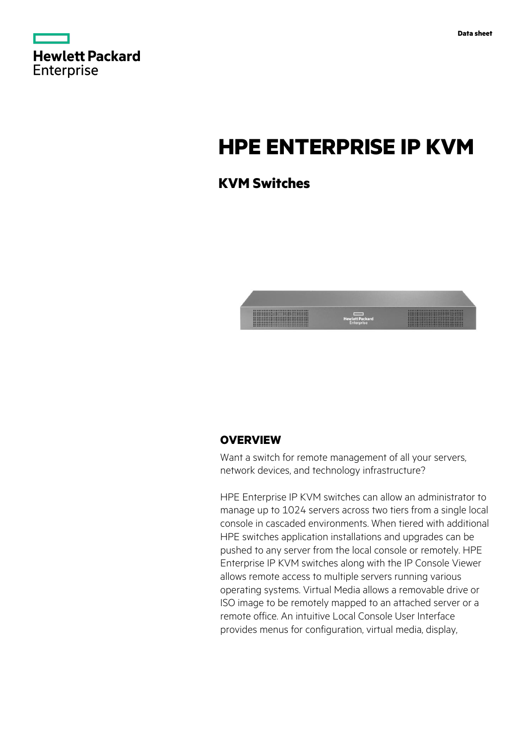

# **HPE ENTERPRISE IP KVM**

# **KVM Switches**



# **OVERVIEW**

Want a switch for remote management of all your servers, network devices, and technology infrastructure?

HPE Enterprise IP KVM switches can allow an administrator to manage up to 1024 servers across two tiers from a single local console in cascaded environments. When tiered with additional HPE switches application installations and upgrades can be pushed to any server from the local console or remotely. HPE Enterprise IP KVM switches along with the IP Console Viewer allows remote access to multiple servers running various operating systems. Virtual Media allows a removable drive or ISO image to be remotely mapped to an attached server or a remote office. An intuitive Local Console User Interface provides menus for configuration, virtual media, display,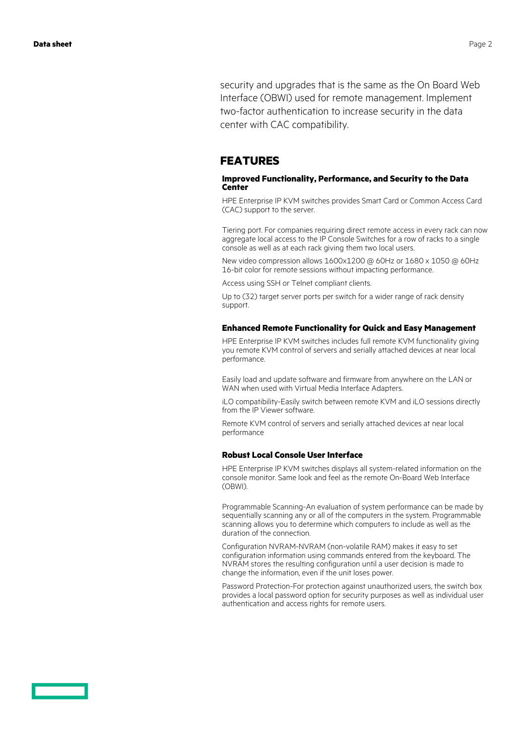security and upgrades that is the same as the On Board Web Interface (OBWI) used for remote management. Implement two-factor authentication to increase security in the data center with CAC compatibility.

# **FEATURES**

### **Improved Functionality, Performance, and Security to the Data Center**

HPE Enterprise IP KVM switches provides Smart Card or Common Access Card (CAC) support to the server.

Tiering port. For companies requiring direct remote access in every rack can now aggregate local access to the IP Console Switches for a row of racks to a single console as well as at each rack giving them two local users.

New video compression allows 1600x1200 @ 60Hz or 1680 x 1050 @ 60Hz 16-bit color for remote sessions without impacting performance.

Access using SSH or Telnet compliant clients.

Up to (32) target server ports per switch for a wider range of rack density support.

### **Enhanced Remote Functionality for Quick and Easy Management**

HPE Enterprise IP KVM switches includes full remote KVM functionality giving you remote KVM control of servers and serially attached devices at near local performance.

Easily load and update software and firmware from anywhere on the LAN or WAN when used with Virtual Media Interface Adapters.

iLO compatibility-Easily switch between remote KVM and iLO sessions directly from the IP Viewer software.

Remote KVM control of servers and serially attached devices at near local performance

### **Robust Local Console User Interface**

HPE Enterprise IP KVM switches displays all system-related information on the console monitor. Same look and feel as the remote On-Board Web Interface (OBWI).

Programmable Scanning-An evaluation of system performance can be made by sequentially scanning any or all of the computers in the system. Programmable scanning allows you to determine which computers to include as well as the duration of the connection.

Configuration NVRAM-NVRAM (non-volatile RAM) makes it easy to set configuration information using commands entered from the keyboard. The NVRAM stores the resulting configuration until a user decision is made to change the information, even if the unit loses power.

Password Protection-For protection against unauthorized users, the switch box provides a local password option for security purposes as well as individual user authentication and access rights for remote users.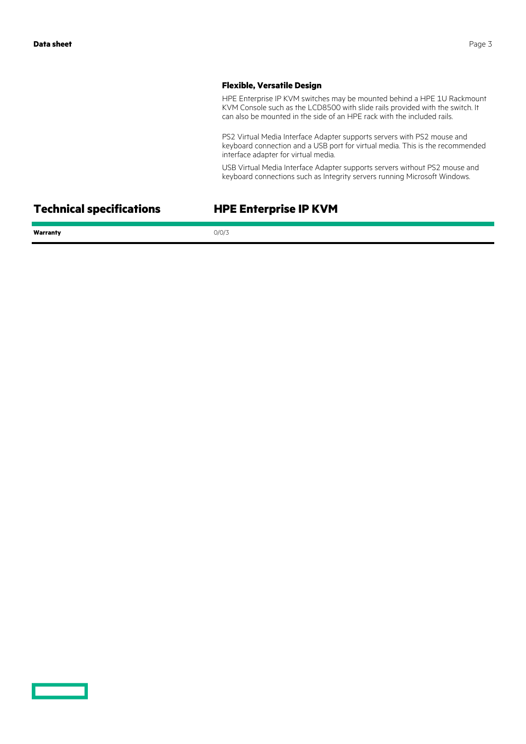## **Flexible, Versatile Design**

HPE Enterprise IP KVM switches may be mounted behind a HPE 1U Rackmount KVM Console such as the LCD8500 with slide rails provided with the switch. It can also be mounted in the side of an HPE rack with the included rails.

PS2 Virtual Media Interface Adapter supports servers with PS2 mouse and keyboard connection and a USB port for virtual media. This is the recommended interface adapter for virtual media.

USB Virtual Media Interface Adapter supports servers without PS2 mouse and keyboard connections such as Integrity servers running Microsoft Windows.

**Technical specifications HPE Enterprise IP KVM**

Warranty 0/0/3